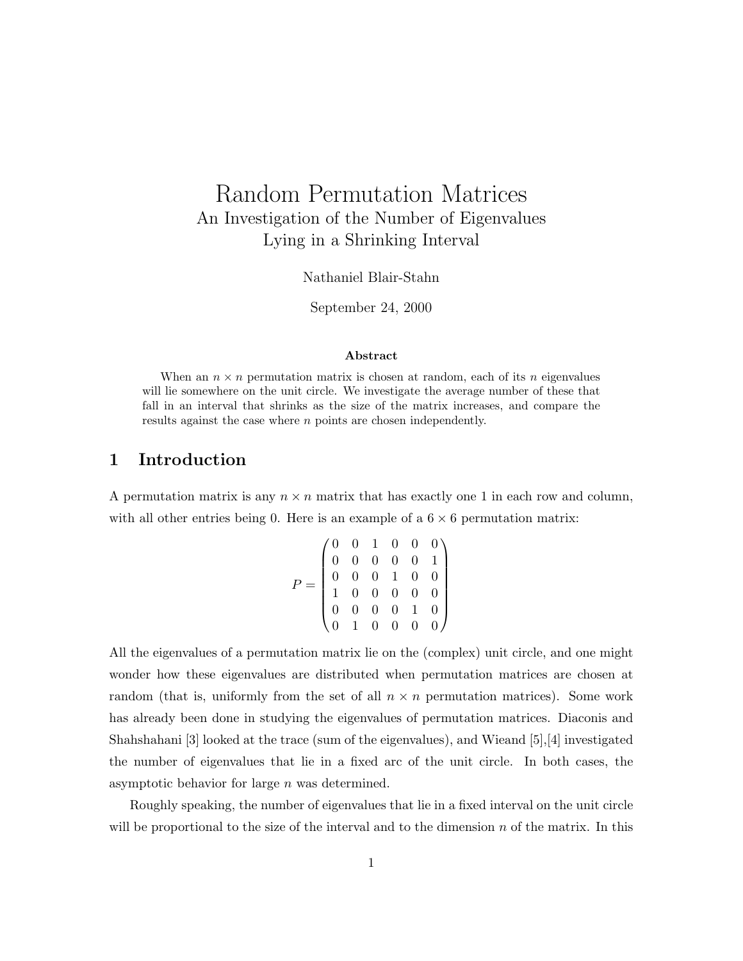# Random Permutation Matrices An Investigation of the Number of Eigenvalues Lying in a Shrinking Interval

Nathaniel Blair-Stahn

September 24, 2000

#### Abstract

When an  $n \times n$  permutation matrix is chosen at random, each of its n eigenvalues will lie somewhere on the unit circle. We investigate the average number of these that fall in an interval that shrinks as the size of the matrix increases, and compare the results against the case where n points are chosen independently.

## 1 Introduction

A permutation matrix is any  $n \times n$  matrix that has exactly one 1 in each row and column, with all other entries being 0. Here is an example of a  $6 \times 6$  permutation matrix:

$$
P = \begin{pmatrix} 0 & 0 & 1 & 0 & 0 & 0 \\ 0 & 0 & 0 & 0 & 0 & 1 \\ 0 & 0 & 0 & 1 & 0 & 0 \\ 1 & 0 & 0 & 0 & 0 & 0 \\ 0 & 0 & 0 & 0 & 1 & 0 \\ 0 & 1 & 0 & 0 & 0 & 0 \end{pmatrix}
$$

All the eigenvalues of a permutation matrix lie on the (complex) unit circle, and one might wonder how these eigenvalues are distributed when permutation matrices are chosen at random (that is, uniformly from the set of all  $n \times n$  permutation matrices). Some work has already been done in studying the eigenvalues of permutation matrices. Diaconis and Shahshahani [3] looked at the trace (sum of the eigenvalues), and Wieand [5],[4] investigated the number of eigenvalues that lie in a fixed arc of the unit circle. In both cases, the asymptotic behavior for large n was determined.

Roughly speaking, the number of eigenvalues that lie in a fixed interval on the unit circle will be proportional to the size of the interval and to the dimension  $n$  of the matrix. In this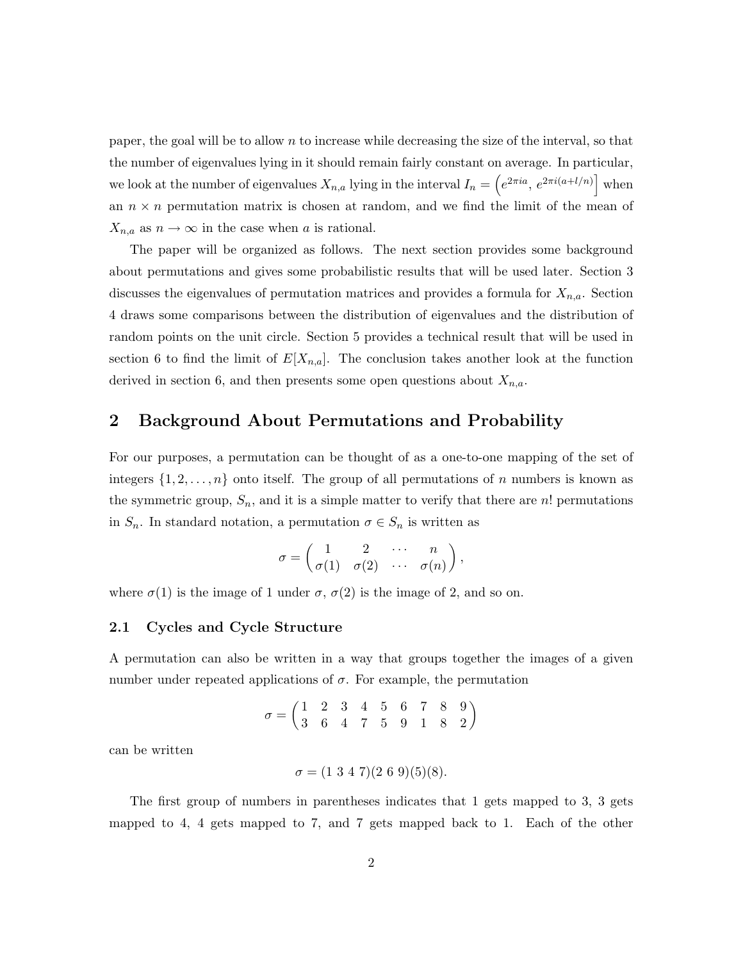paper, the goal will be to allow  $n$  to increase while decreasing the size of the interval, so that the number of eigenvalues lying in it should remain fairly constant on average. In particular, we look at the number of eigenvalues  $X_{n,a}$  lying in the interval  $I_n = \left(e^{2\pi i a}, e^{2\pi i (a+l/n)}\right]$  when an  $n \times n$  permutation matrix is chosen at random, and we find the limit of the mean of  $X_{n,a}$  as  $n \to \infty$  in the case when a is rational.

The paper will be organized as follows. The next section provides some background about permutations and gives some probabilistic results that will be used later. Section 3 discusses the eigenvalues of permutation matrices and provides a formula for  $X_{n,a}$ . Section 4 draws some comparisons between the distribution of eigenvalues and the distribution of random points on the unit circle. Section 5 provides a technical result that will be used in section 6 to find the limit of  $E[X_{n,a}]$ . The conclusion takes another look at the function derived in section 6, and then presents some open questions about  $X_{n,a}$ .

## 2 Background About Permutations and Probability

For our purposes, a permutation can be thought of as a one-to-one mapping of the set of integers  $\{1, 2, \ldots, n\}$  onto itself. The group of all permutations of n numbers is known as the symmetric group,  $S_n$ , and it is a simple matter to verify that there are n! permutations in  $S_n$ . In standard notation, a permutation  $\sigma \in S_n$  is written as

$$
\sigma = \begin{pmatrix} 1 & 2 & \cdots & n \\ \sigma(1) & \sigma(2) & \cdots & \sigma(n) \end{pmatrix},
$$

where  $\sigma(1)$  is the image of 1 under  $\sigma$ ,  $\sigma(2)$  is the image of 2, and so on.

#### 2.1 Cycles and Cycle Structure

A permutation can also be written in a way that groups together the images of a given number under repeated applications of  $\sigma$ . For example, the permutation

$$
\sigma = \begin{pmatrix} 1 & 2 & 3 & 4 & 5 & 6 & 7 & 8 & 9 \\ 3 & 6 & 4 & 7 & 5 & 9 & 1 & 8 & 2 \end{pmatrix}
$$

can be written

$$
\sigma = (1\ 3\ 4\ 7)(2\ 6\ 9)(5)(8).
$$

The first group of numbers in parentheses indicates that 1 gets mapped to 3, 3 gets mapped to 4, 4 gets mapped to 7, and 7 gets mapped back to 1. Each of the other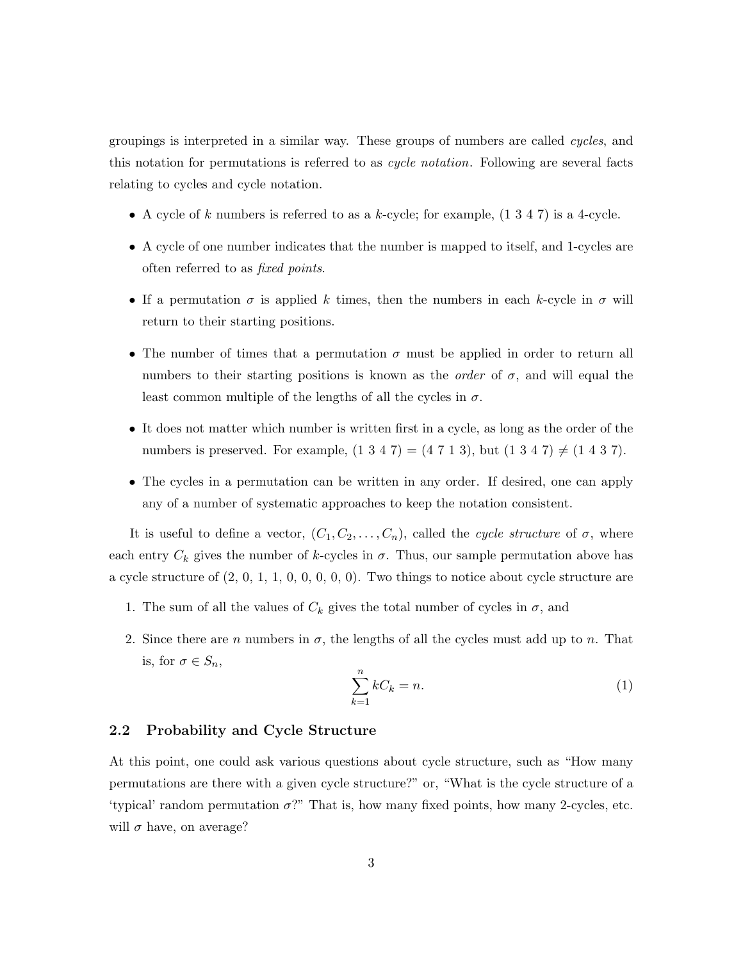groupings is interpreted in a similar way. These groups of numbers are called cycles, and this notation for permutations is referred to as *cycle notation*. Following are several facts relating to cycles and cycle notation.

- A cycle of k numbers is referred to as a k-cycle; for example,  $(1\ 3\ 4\ 7)$  is a 4-cycle.
- A cycle of one number indicates that the number is mapped to itself, and 1-cycles are often referred to as fixed points.
- If a permutation  $\sigma$  is applied k times, then the numbers in each k-cycle in  $\sigma$  will return to their starting positions.
- The number of times that a permutation  $\sigma$  must be applied in order to return all numbers to their starting positions is known as the *order* of  $\sigma$ , and will equal the least common multiple of the lengths of all the cycles in  $\sigma$ .
- It does not matter which number is written first in a cycle, as long as the order of the numbers is preserved. For example,  $(1\ 3\ 4\ 7) = (4\ 7\ 1\ 3)$ , but  $(1\ 3\ 4\ 7) \neq (1\ 4\ 3\ 7)$ .
- The cycles in a permutation can be written in any order. If desired, one can apply any of a number of systematic approaches to keep the notation consistent.

It is useful to define a vector,  $(C_1, C_2, \ldots, C_n)$ , called the cycle structure of  $\sigma$ , where each entry  $C_k$  gives the number of k-cycles in  $\sigma$ . Thus, our sample permutation above has a cycle structure of (2, 0, 1, 1, 0, 0, 0, 0, 0). Two things to notice about cycle structure are

- 1. The sum of all the values of  $C_k$  gives the total number of cycles in  $\sigma$ , and
- 2. Since there are n numbers in  $\sigma$ , the lengths of all the cycles must add up to n. That is, for  $\sigma \in S_n$ ,

$$
\sum_{k=1}^{n} kC_k = n. \tag{1}
$$

#### 2.2 Probability and Cycle Structure

At this point, one could ask various questions about cycle structure, such as "How many permutations are there with a given cycle structure?" or, "What is the cycle structure of a 'typical' random permutation  $\sigma$ ?" That is, how many fixed points, how many 2-cycles, etc. will  $\sigma$  have, on average?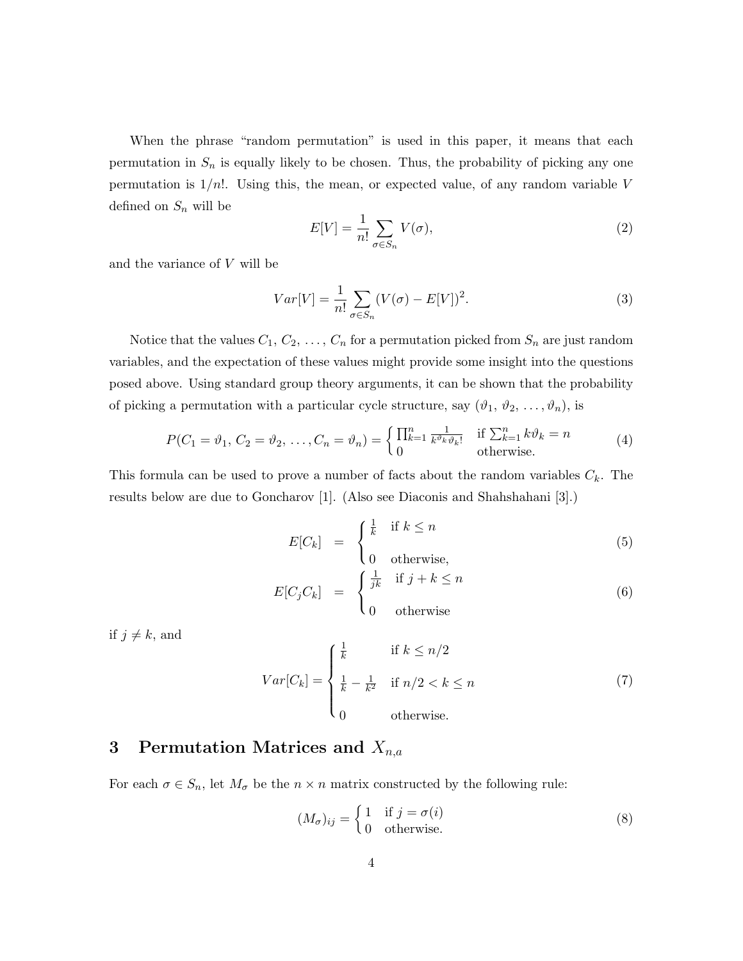When the phrase "random permutation" is used in this paper, it means that each permutation in  $S_n$  is equally likely to be chosen. Thus, the probability of picking any one permutation is  $1/n!$ . Using this, the mean, or expected value, of any random variable V defined on  $S_n$  will be

$$
E[V] = \frac{1}{n!} \sum_{\sigma \in S_n} V(\sigma),\tag{2}
$$

and the variance of V will be

$$
Var[V] = \frac{1}{n!} \sum_{\sigma \in S_n} (V(\sigma) - E[V])^2.
$$
 (3)

Notice that the values  $C_1, C_2, \ldots, C_n$  for a permutation picked from  $S_n$  are just random variables, and the expectation of these values might provide some insight into the questions posed above. Using standard group theory arguments, it can be shown that the probability of picking a permutation with a particular cycle structure, say  $(\vartheta_1, \vartheta_2, \ldots, \vartheta_n)$ , is

$$
P(C_1 = \vartheta_1, C_2 = \vartheta_2, \dots, C_n = \vartheta_n) = \begin{cases} \prod_{k=1}^n \frac{1}{k^{\vartheta_k} \vartheta_k!} & \text{if } \sum_{k=1}^n k \vartheta_k = n \\ 0 & \text{otherwise.} \end{cases}
$$
(4)

This formula can be used to prove a number of facts about the random variables  $C_k$ . The results below are due to Goncharov [1]. (Also see Diaconis and Shahshahani [3].)

$$
E[C_k] = \begin{cases} \frac{1}{k} & \text{if } k \le n \\ 0 & \text{otherwise,} \end{cases}
$$
 (5)

$$
E[C_j C_k] = \begin{cases} \frac{1}{jk} & \text{if } j + k \le n \\ 0 & \text{otherwise} \end{cases}
$$
 (6)

if  $j \neq k$ , and

$$
Var[C_k] = \begin{cases} \frac{1}{k} & \text{if } k \le n/2\\ \frac{1}{k} - \frac{1}{k^2} & \text{if } n/2 < k \le n\\ 0 & \text{otherwise.} \end{cases} \tag{7}
$$

## 3 Permutation Matrices and  $X_{n,a}$

For each  $\sigma \in S_n$ , let  $M_{\sigma}$  be the  $n \times n$  matrix constructed by the following rule:

$$
(M_{\sigma})_{ij} = \begin{cases} 1 & \text{if } j = \sigma(i) \\ 0 & \text{otherwise.} \end{cases}
$$
 (8)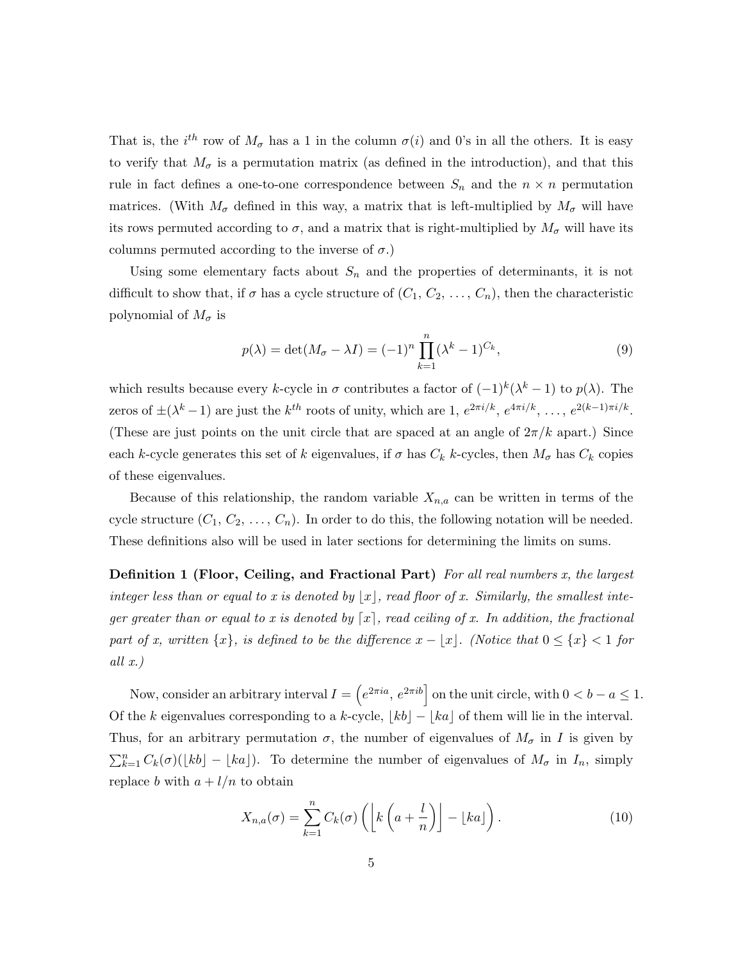That is, the  $i^{th}$  row of  $M_{\sigma}$  has a 1 in the column  $\sigma(i)$  and 0's in all the others. It is easy to verify that  $M_{\sigma}$  is a permutation matrix (as defined in the introduction), and that this rule in fact defines a one-to-one correspondence between  $S_n$  and the  $n \times n$  permutation matrices. (With  $M_{\sigma}$  defined in this way, a matrix that is left-multiplied by  $M_{\sigma}$  will have its rows permuted according to  $\sigma$ , and a matrix that is right-multiplied by  $M_{\sigma}$  will have its columns permuted according to the inverse of  $\sigma$ .)

Using some elementary facts about  $S_n$  and the properties of determinants, it is not difficult to show that, if  $\sigma$  has a cycle structure of  $(C_1, C_2, \ldots, C_n)$ , then the characteristic polynomial of  $M_{\sigma}$  is

$$
p(\lambda) = \det(M_{\sigma} - \lambda I) = (-1)^n \prod_{k=1}^n (\lambda^k - 1)^{C_k},
$$
\n(9)

which results because every k-cycle in  $\sigma$  contributes a factor of  $(-1)^k(\lambda^k-1)$  to  $p(\lambda)$ . The zeros of  $\pm(\lambda^k-1)$  are just the  $k^{th}$  roots of unity, which are 1,  $e^{2\pi i/k}$ ,  $e^{4\pi i/k}$ , ...,  $e^{2(k-1)\pi i/k}$ . (These are just points on the unit circle that are spaced at an angle of  $2\pi/k$  apart.) Since each k-cycle generates this set of k eigenvalues, if  $\sigma$  has  $C_k$  k-cycles, then  $M_{\sigma}$  has  $C_k$  copies of these eigenvalues.

Because of this relationship, the random variable  $X_{n,a}$  can be written in terms of the cycle structure  $(C_1, C_2, \ldots, C_n)$ . In order to do this, the following notation will be needed. These definitions also will be used in later sections for determining the limits on sums.

**Definition 1 (Floor, Ceiling, and Fractional Part)** For all real numbers  $x$ , the largest integer less than or equal to x is denoted by  $|x|$ , read floor of x. Similarly, the smallest integer greater than or equal to x is denoted by  $\lceil x \rceil$ , read ceiling of x. In addition, the fractional part of x, written  $\{x\}$ , is defined to be the difference  $x - \lfloor x \rfloor$ . (Notice that  $0 \leq \{x\} < 1$  for all  $x.$ )

Now, consider an arbitrary interval  $I = \left(e^{2\pi i a}, e^{2\pi i b}\right]$  on the unit circle, with  $0 < b - a \leq 1$ . Of the k eigenvalues corresponding to a k-cycle,  $|kb| - |ka|$  of them will lie in the interval. Thus, for an arbitrary permutation  $\sigma$ , the number of eigenvalues of  $M_{\sigma}$  in I is given by  $\sum_{k=1}^{n} C_k(\sigma)(\lfloor kb \rfloor - \lfloor ka \rfloor)$ . To determine the number of eigenvalues of  $M_{\sigma}$  in  $I_n$ , simply replace b with  $a + l/n$  to obtain

$$
X_{n,a}(\sigma) = \sum_{k=1}^{n} C_k(\sigma) \left( \left[ k \left( a + \frac{l}{n} \right) \right] - \lfloor ka \rfloor \right). \tag{10}
$$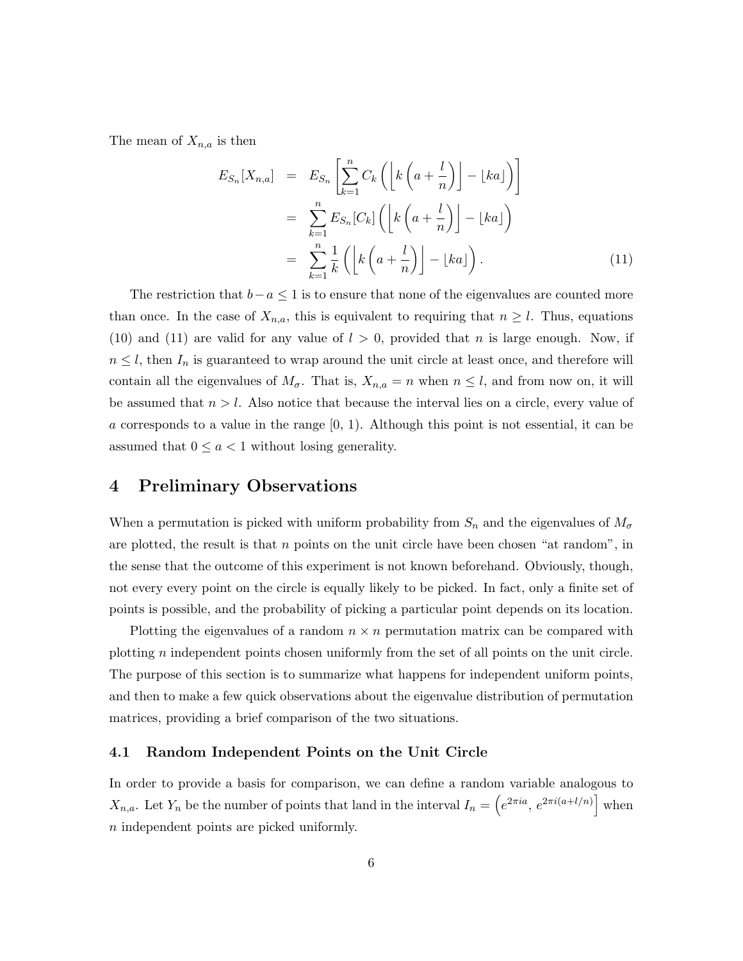The mean of  $X_{n,a}$  is then

$$
E_{S_n}[X_{n,a}] = E_{S_n}\left[\sum_{k=1}^n C_k \left(\left[k\left(a + \frac{l}{n}\right)\right] - \lfloor ka \rfloor\right)\right]
$$
  

$$
= \sum_{k=1}^n E_{S_n}[C_k] \left(\left[k\left(a + \frac{l}{n}\right)\right] - \lfloor ka \rfloor\right)
$$
  

$$
= \sum_{k=1}^n \frac{1}{k} \left(\left[k\left(a + \frac{l}{n}\right)\right] - \lfloor ka \rfloor\right).
$$
 (11)

The restriction that  $b-a \leq 1$  is to ensure that none of the eigenvalues are counted more than once. In the case of  $X_{n,a}$ , this is equivalent to requiring that  $n \geq l$ . Thus, equations (10) and (11) are valid for any value of  $l > 0$ , provided that n is large enough. Now, if  $n \leq l$ , then  $I_n$  is guaranteed to wrap around the unit circle at least once, and therefore will contain all the eigenvalues of  $M_{\sigma}$ . That is,  $X_{n,a} = n$  when  $n \leq l$ , and from now on, it will be assumed that  $n > l$ . Also notice that because the interval lies on a circle, every value of a corresponds to a value in the range  $[0, 1)$ . Although this point is not essential, it can be assumed that  $0 \leq a < 1$  without losing generality.

## 4 Preliminary Observations

When a permutation is picked with uniform probability from  $S_n$  and the eigenvalues of  $M_{\sigma}$ are plotted, the result is that  $n$  points on the unit circle have been chosen "at random", in the sense that the outcome of this experiment is not known beforehand. Obviously, though, not every every point on the circle is equally likely to be picked. In fact, only a finite set of points is possible, and the probability of picking a particular point depends on its location.

Plotting the eigenvalues of a random  $n \times n$  permutation matrix can be compared with plotting  $n$  independent points chosen uniformly from the set of all points on the unit circle. The purpose of this section is to summarize what happens for independent uniform points, and then to make a few quick observations about the eigenvalue distribution of permutation matrices, providing a brief comparison of the two situations.

#### 4.1 Random Independent Points on the Unit Circle

In order to provide a basis for comparison, we can define a random variable analogous to  $X_{n,a}$ . Let  $Y_n$  be the number of points that land in the interval  $I_n = \left(e^{2\pi i a}, e^{2\pi i (a+l/n)}\right]$  when n independent points are picked uniformly.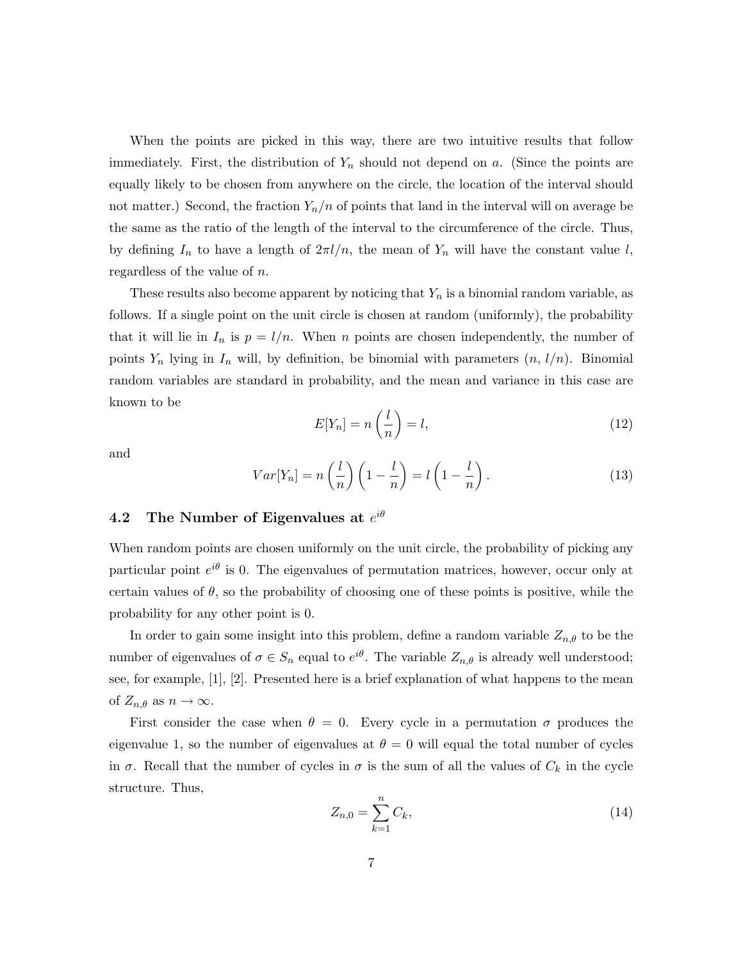When the points are picked in this way, there are two intuitive results that follow immediately. First, the distribution of  $Y_n$  should not depend on a. (Since the points are equally likely to be chosen from anywhere on the circle, the location of the interval should not matter.) Second, the fraction  $Y_n/n$  of points that land in the interval will on average be the same as the ratio of the length of the interval to the circumference of the circle. Thus, by defining  $I_n$  to have a length of  $2\pi l/n$ , the mean of  $Y_n$  will have the constant value l, regardless of the value of n.

These results also become apparent by noticing that  $Y_n$  is a binomial random variable, as follows. If a single point on the unit circle is chosen at random (uniformly), the probability that it will lie in  $I_n$  is  $p = l/n$ . When n points are chosen independently, the number of points  $Y_n$  lying in  $I_n$  will, by definition, be binomial with parameters  $(n, l/n)$ . Binomial random variables are standard in probability, and the mean and variance in this case are known to be

$$
E[Y_n] = n\left(\frac{l}{n}\right) = l,\tag{12}
$$

and

$$
Var[Y_n] = n\left(\frac{l}{n}\right)\left(1 - \frac{l}{n}\right) = l\left(1 - \frac{l}{n}\right). \tag{13}
$$

## 4.2 The Number of Eigenvalues at  $e^{i\theta}$

When random points are chosen uniformly on the unit circle, the probability of picking any particular point  $e^{i\theta}$  is 0. The eigenvalues of permutation matrices, however, occur only at certain values of  $\theta$ , so the probability of choosing one of these points is positive, while the probability for any other point is 0.

In order to gain some insight into this problem, define a random variable  $Z_{n,\theta}$  to be the number of eigenvalues of  $\sigma \in S_n$  equal to  $e^{i\theta}$ . The variable  $Z_{n,\theta}$  is already well understood; see, for example, [1], [2]. Presented here is a brief explanation of what happens to the mean of  $Z_{n,\theta}$  as  $n \to \infty$ .

First consider the case when  $\theta = 0$ . Every cycle in a permutation  $\sigma$  produces the eigenvalue 1, so the number of eigenvalues at  $\theta = 0$  will equal the total number of cycles in  $\sigma$ . Recall that the number of cycles in  $\sigma$  is the sum of all the values of  $C_k$  in the cycle structure. Thus,

$$
Z_{n,0} = \sum_{k=1}^{n} C_k,
$$
\n(14)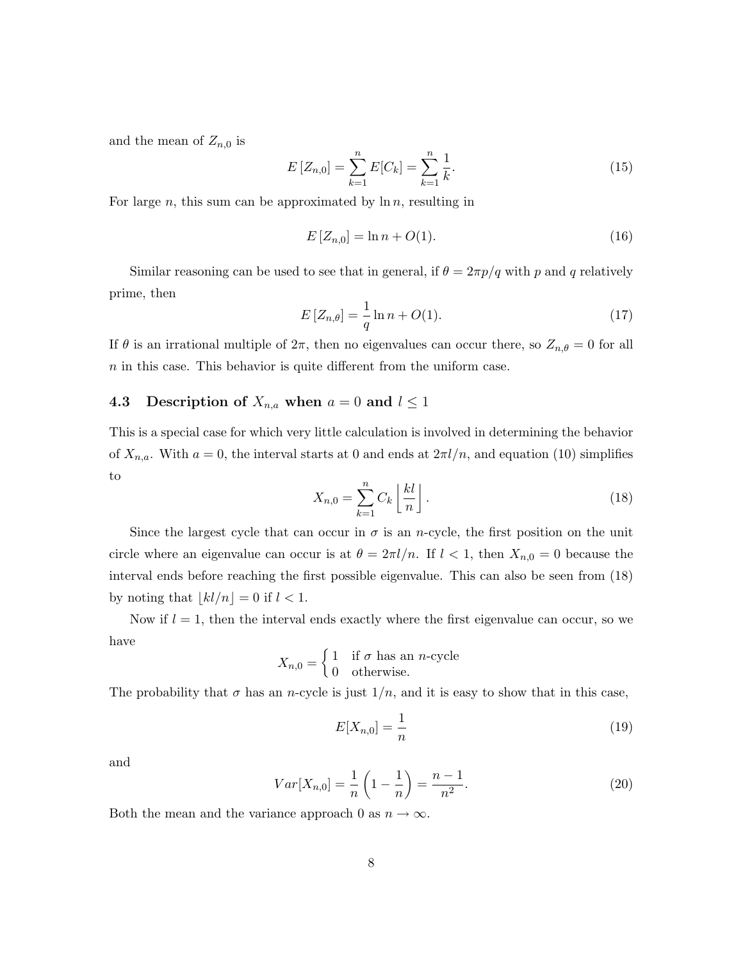and the mean of  $Z_{n,0}$  is

$$
E\left[Z_{n,0}\right] = \sum_{k=1}^{n} E[C_k] = \sum_{k=1}^{n} \frac{1}{k}.
$$
\n(15)

For large  $n$ , this sum can be approximated by  $\ln n$ , resulting in

$$
E[Z_{n,0}] = \ln n + O(1). \tag{16}
$$

Similar reasoning can be used to see that in general, if  $\theta = 2\pi p/q$  with p and q relatively prime, then

$$
E[Z_{n,\theta}] = \frac{1}{q} \ln n + O(1).
$$
 (17)

If  $\theta$  is an irrational multiple of  $2\pi$ , then no eigenvalues can occur there, so  $Z_{n,\theta} = 0$  for all  $n$  in this case. This behavior is quite different from the uniform case.

#### 4.3 Description of  $X_{n,a}$  when  $a = 0$  and  $l \leq 1$

This is a special case for which very little calculation is involved in determining the behavior of  $X_{n,a}$ . With  $a = 0$ , the interval starts at 0 and ends at  $2\pi l/n$ , and equation (10) simplifies to

$$
X_{n,0} = \sum_{k=1}^{n} C_k \left\lfloor \frac{kl}{n} \right\rfloor.
$$
 (18)

Since the largest cycle that can occur in  $\sigma$  is an n-cycle, the first position on the unit circle where an eigenvalue can occur is at  $\theta = 2\pi l/n$ . If  $l < 1$ , then  $X_{n,0} = 0$  because the interval ends before reaching the first possible eigenvalue. This can also be seen from (18) by noting that  $\lfloor kl/n \rfloor = 0$  if  $l < 1$ .

Now if  $l = 1$ , then the interval ends exactly where the first eigenvalue can occur, so we have

$$
X_{n,0} = \begin{cases} 1 & \text{if } \sigma \text{ has an } n\text{-cycle} \\ 0 & \text{otherwise.} \end{cases}
$$

The probability that  $\sigma$  has an n-cycle is just  $1/n$ , and it is easy to show that in this case,

$$
E[X_{n,0}] = \frac{1}{n} \tag{19}
$$

and

$$
Var[X_{n,0}] = \frac{1}{n} \left( 1 - \frac{1}{n} \right) = \frac{n-1}{n^2}.
$$
 (20)

Both the mean and the variance approach 0 as  $n \to \infty$ .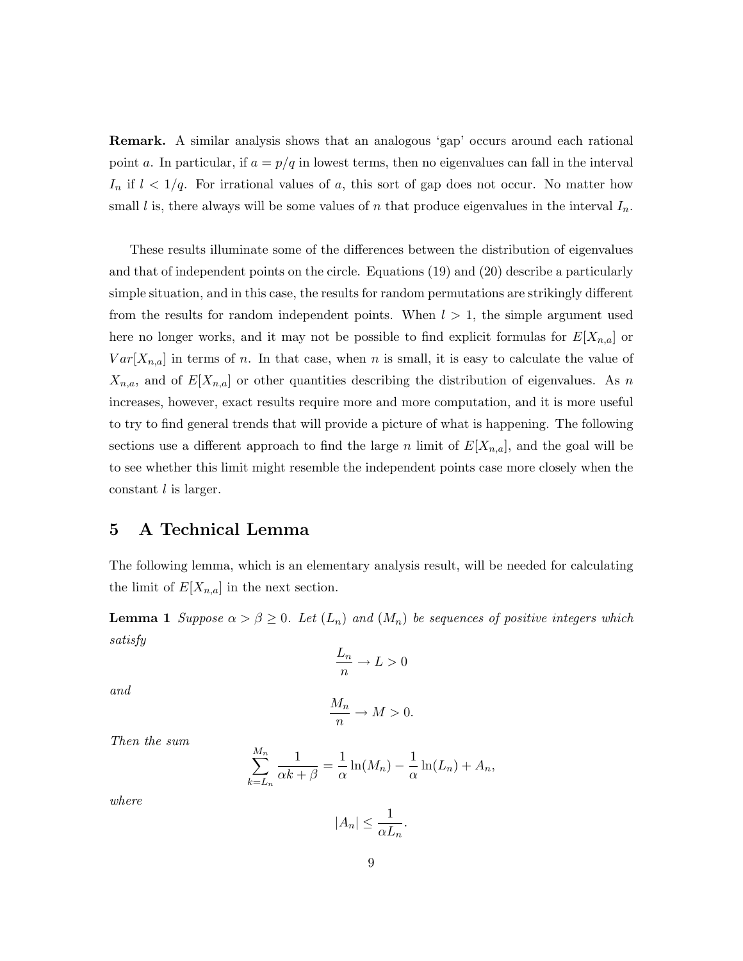Remark. A similar analysis shows that an analogous 'gap' occurs around each rational point a. In particular, if  $a = p/q$  in lowest terms, then no eigenvalues can fall in the interval  $I_n$  if  $l < 1/q$ . For irrational values of a, this sort of gap does not occur. No matter how small l is, there always will be some values of n that produce eigenvalues in the interval  $I_n$ .

These results illuminate some of the differences between the distribution of eigenvalues and that of independent points on the circle. Equations (19) and (20) describe a particularly simple situation, and in this case, the results for random permutations are strikingly different from the results for random independent points. When  $l > 1$ , the simple argument used here no longer works, and it may not be possible to find explicit formulas for  $E[X_{n,a}]$  or  $Var[X_{n,a}]$  in terms of n. In that case, when n is small, it is easy to calculate the value of  $X_{n,a}$ , and of  $E[X_{n,a}]$  or other quantities describing the distribution of eigenvalues. As n increases, however, exact results require more and more computation, and it is more useful to try to find general trends that will provide a picture of what is happening. The following sections use a different approach to find the large n limit of  $E[X_{n,a}]$ , and the goal will be to see whether this limit might resemble the independent points case more closely when the constant l is larger.

## 5 A Technical Lemma

The following lemma, which is an elementary analysis result, will be needed for calculating the limit of  $E[X_{n,a}]$  in the next section.

**Lemma 1** Suppose  $\alpha > \beta \geq 0$ . Let  $(L_n)$  and  $(M_n)$  be sequences of positive integers which satisfy

$$
\frac{L_n}{n} \to L > 0
$$

and

$$
\frac{M_n}{n} \to M > 0.
$$

Then the sum

$$
\sum_{k=L_n}^{M_n} \frac{1}{\alpha k + \beta} = \frac{1}{\alpha} \ln(M_n) - \frac{1}{\alpha} \ln(L_n) + A_n,
$$

where

$$
|A_n| \le \frac{1}{\alpha L_n}.
$$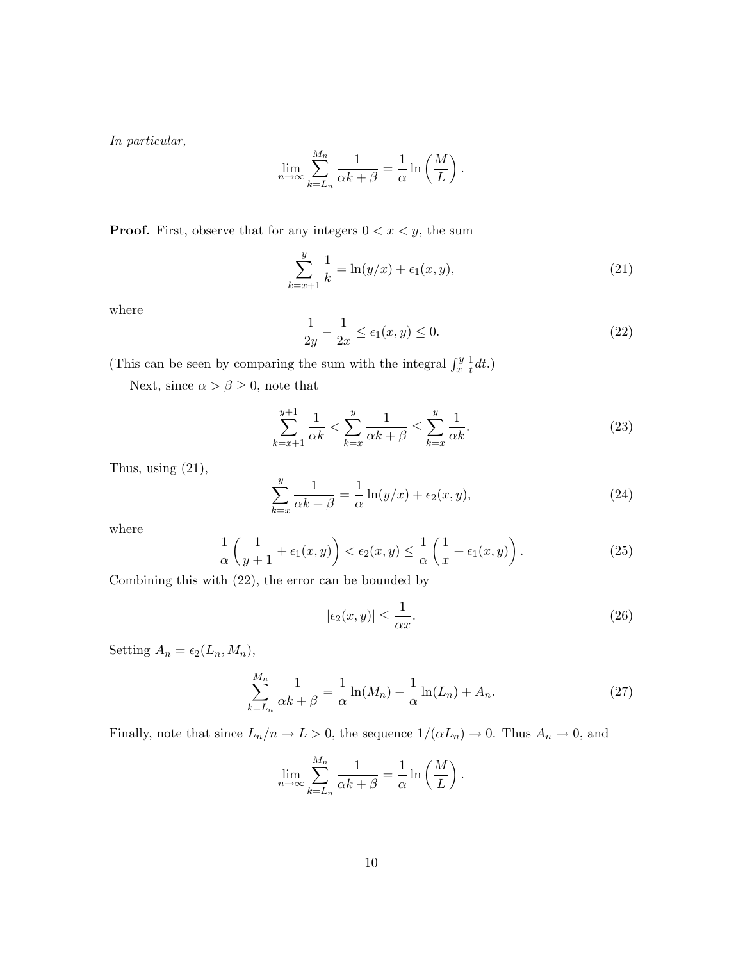In particular,

$$
\lim_{n \to \infty} \sum_{k=L_n}^{M_n} \frac{1}{\alpha k + \beta} = \frac{1}{\alpha} \ln \left( \frac{M}{L} \right).
$$

**Proof.** First, observe that for any integers  $0 < x < y$ , the sum

$$
\sum_{k=x+1}^{y} \frac{1}{k} = \ln(y/x) + \epsilon_1(x, y),\tag{21}
$$

where

$$
\frac{1}{2y} - \frac{1}{2x} \le \epsilon_1(x, y) \le 0.
$$
\n<sup>(22)</sup>

(This can be seen by comparing the sum with the integral  $\int_x^y \frac{1}{t}$  $\frac{1}{t}dt.$ 

Next, since  $\alpha>\beta\geq0,$  note that

$$
\sum_{k=x+1}^{y+1} \frac{1}{\alpha k} < \sum_{k=x}^{y} \frac{1}{\alpha k + \beta} \le \sum_{k=x}^{y} \frac{1}{\alpha k}.\tag{23}
$$

Thus, using  $(21)$ ,

$$
\sum_{k=x}^{y} \frac{1}{\alpha k + \beta} = \frac{1}{\alpha} \ln(y/x) + \epsilon_2(x, y),\tag{24}
$$

where

$$
\frac{1}{\alpha} \left( \frac{1}{y+1} + \epsilon_1(x, y) \right) < \epsilon_2(x, y) \leq \frac{1}{\alpha} \left( \frac{1}{x} + \epsilon_1(x, y) \right). \tag{25}
$$

Combining this with (22), the error can be bounded by

$$
|\epsilon_2(x,y)| \le \frac{1}{\alpha x}.\tag{26}
$$

Setting  $A_n = \epsilon_2(L_n, M_n)$ ,

$$
\sum_{k=L_n}^{M_n} \frac{1}{\alpha k + \beta} = \frac{1}{\alpha} \ln(M_n) - \frac{1}{\alpha} \ln(L_n) + A_n.
$$
 (27)

Finally, note that since  $L_n/n \to L > 0$ , the sequence  $1/(\alpha L_n) \to 0$ . Thus  $A_n \to 0$ , and

$$
\lim_{n \to \infty} \sum_{k=L_n}^{M_n} \frac{1}{\alpha k + \beta} = \frac{1}{\alpha} \ln \left( \frac{M}{L} \right).
$$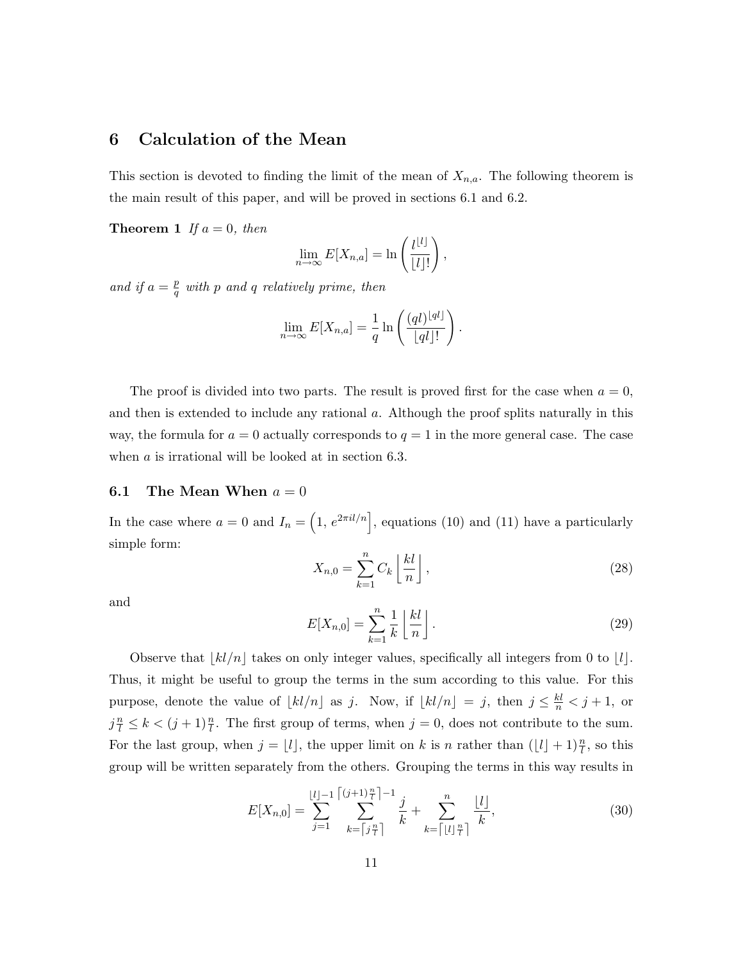## 6 Calculation of the Mean

This section is devoted to finding the limit of the mean of  $X_{n,a}$ . The following theorem is the main result of this paper, and will be proved in sections 6.1 and 6.2.

**Theorem 1** If  $a = 0$ , then

$$
\lim_{n \to \infty} E[X_{n,a}] = \ln\left(\frac{l^{[l]}}{[l]!}\right),\,
$$

and if  $a = \frac{p}{q}$  $\frac{p}{q}$  with p and q relatively prime, then

$$
\lim_{n \to \infty} E[X_{n,a}] = \frac{1}{q} \ln \left( \frac{(ql)^{\lfloor qt \rfloor}}{\lfloor qt \rfloor!} \right).
$$

The proof is divided into two parts. The result is proved first for the case when  $a = 0$ , and then is extended to include any rational a. Although the proof splits naturally in this way, the formula for  $a = 0$  actually corresponds to  $q = 1$  in the more general case. The case when *a* is irrational will be looked at in section 6.3.

#### **6.1** The Mean When  $a = 0$

In the case where  $a = 0$  and  $I_n = \left(1, e^{2\pi i l/n}\right]$ , equations (10) and (11) have a particularly simple form:

$$
X_{n,0} = \sum_{k=1}^{n} C_k \left\lfloor \frac{kl}{n} \right\rfloor,\tag{28}
$$

and

$$
E[X_{n,0}] = \sum_{k=1}^{n} \frac{1}{k} \left\lfloor \frac{kl}{n} \right\rfloor.
$$
 (29)

Observe that  $|kl/n|$  takes on only integer values, specifically all integers from 0 to  $|l|$ . Thus, it might be useful to group the terms in the sum according to this value. For this purpose, denote the value of  $\lfloor kl/n \rfloor$  as j. Now, if  $\lfloor kl/n \rfloor = j$ , then  $j \leq \frac{kl}{n} < j + 1$ , or  $j^{\frac{n}{l}} \leq k < (j+1)^{\frac{n}{l}}$ . The first group of terms, when  $j = 0$ , does not contribute to the sum. For the last group, when  $j = \lfloor l \rfloor$ , the upper limit on k is n rather than  $(\lfloor l \rfloor + 1)\frac{n}{l}$ , so this group will be written separately from the others. Grouping the terms in this way results in

$$
E[X_{n,0}] = \sum_{j=1}^{\lfloor l \rfloor - 1} \sum_{k=\lceil j^n \rceil}^{\lceil (j+1)\rceil - 1} \frac{j}{k} + \sum_{k=\lceil \lfloor l \rfloor \frac{n}{l} \rceil}^n \frac{\lfloor l \rfloor}{k},\tag{30}
$$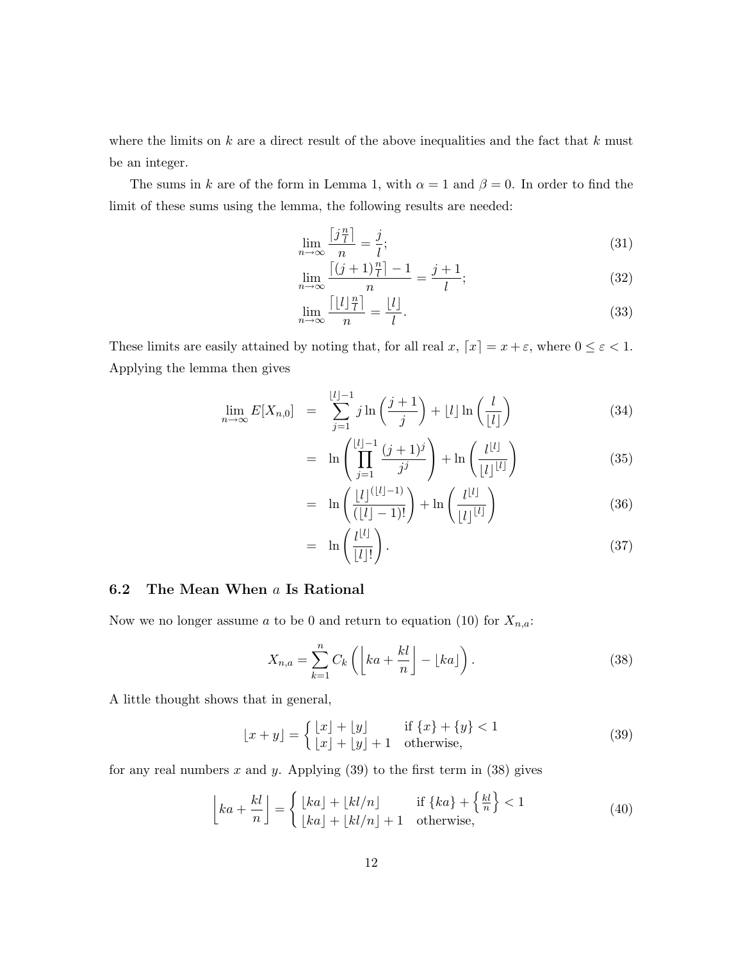where the limits on  $k$  are a direct result of the above inequalities and the fact that  $k$  must be an integer.

The sums in k are of the form in Lemma 1, with  $\alpha = 1$  and  $\beta = 0$ . In order to find the limit of these sums using the lemma, the following results are needed:

$$
\lim_{n \to \infty} \frac{\left[j\frac{n}{l}\right]}{n} = \frac{j}{l};\tag{31}
$$

$$
\lim_{n \to \infty} \frac{\left\lceil (j+1)\frac{n}{l} \right\rceil - 1}{n} = \frac{j+1}{l};\tag{32}
$$

$$
\lim_{n \to \infty} \frac{\lceil \lfloor l \rfloor \frac{n}{l} \rceil}{n} = \frac{\lfloor l \rfloor}{l}.
$$
\n(33)

These limits are easily attained by noting that, for all real  $x, [x] = x + \varepsilon$ , where  $0 \le \varepsilon < 1$ . Applying the lemma then gives

$$
\lim_{n \to \infty} E[X_{n,0}] = \sum_{j=1}^{\lfloor l \rfloor - 1} j \ln \left( \frac{j+1}{j} \right) + \lfloor l \rfloor \ln \left( \frac{l}{\lfloor l \rfloor} \right) \tag{34}
$$

$$
= \ln \left( \prod_{j=1}^{\lfloor l \rfloor - 1} \frac{(j+1)^j}{j^j} \right) + \ln \left( \frac{l^{\lfloor l \rfloor}}{\lfloor l \rfloor^{\lfloor l \rfloor}} \right) \tag{35}
$$

$$
= \ln\left(\frac{\lfloor l\rfloor^{(\lfloor l\rfloor-1)}}{(\lfloor l\rfloor-1)!}\right) + \ln\left(\frac{l^{\lfloor l\rfloor}}{\lfloor l\rfloor^{\lfloor l\rfloor}}\right) \tag{36}
$$

$$
= \ln\left(\frac{l^{[l]}}{[l]!}\right). \tag{37}
$$

#### 6.2 The Mean When a Is Rational

Now we no longer assume a to be 0 and return to equation (10) for  $X_{n,a}$ :

$$
X_{n,a} = \sum_{k=1}^{n} C_k \left( \left[ ka + \frac{kl}{n} \right] - \left[ ka \right] \right). \tag{38}
$$

A little thought shows that in general,

$$
\lfloor x+y \rfloor = \begin{cases} \lfloor x \rfloor + \lfloor y \rfloor & \text{if } \{x\} + \{y\} < 1\\ \lfloor x \rfloor + \lfloor y \rfloor + 1 & \text{otherwise,} \end{cases} \tag{39}
$$

for any real numbers  $x$  and  $y$ . Applying (39) to the first term in (38) gives

$$
\left\lfloor ka + \frac{kl}{n} \right\rfloor = \begin{cases} \left\lfloor ka \right\rfloor + \left\lfloor kl/n \right\rfloor & \text{if } \{ka\} + \left\{ \frac{kl}{n} \right\} < 1\\ \left\lfloor ka \right\rfloor + \left\lfloor kl/n \right\rfloor + 1 & \text{otherwise,} \end{cases} \tag{40}
$$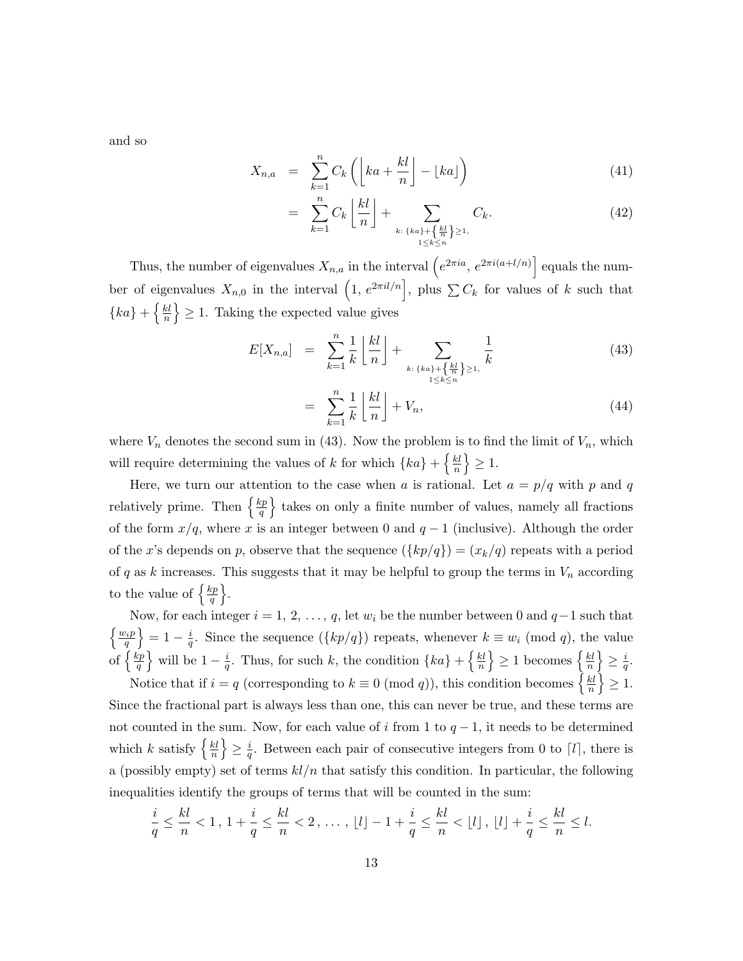and so

$$
X_{n,a} = \sum_{k=1}^{n} C_k \left( \left\lfloor ka + \frac{kl}{n} \right\rfloor - \lfloor ka \rfloor \right) \tag{41}
$$

$$
= \sum_{k=1}^{n} C_k \left\lfloor \frac{kl}{n} \right\rfloor + \sum_{\substack{k:\{ka\}+\{\frac{kl}{n}\} \ge 1,\\1 \le k \le n}} C_k.
$$
 (42)

Thus, the number of eigenvalues  $X_{n,a}$  in the interval  $\left(e^{2\pi i a}, e^{2\pi i (a+l/n)}\right]$  equals the number of eigenvalues  $X_{n,0}$  in the interval  $(1, e^{2\pi i l/n})$ , plus  $\sum C_k$  for values of k such that  $\{ka\}$  +  $\frac{k}{n}$  $\left\{\frac{kl}{n}\right\} \geq 1$ . Taking the expected value gives

$$
E[X_{n,a}] = \sum_{k=1}^{n} \frac{1}{k} \left\lfloor \frac{kl}{n} \right\rfloor + \sum_{\substack{k:\{ka\}+\{\frac{kl}{n}\} \ge 1,\\1 \le k \le n}} \frac{1}{k}
$$
(43)

$$
= \sum_{k=1}^{n} \frac{1}{k} \left\lfloor \frac{kl}{n} \right\rfloor + V_n,
$$
\n(44)

where  $V_n$  denotes the second sum in (43). Now the problem is to find the limit of  $V_n$ , which will require determining the values of k for which  $\{ka\} + \{\frac{kl}{n}\}$  $\frac{kl}{n}\Big\}\geq 1.$ 

Here, we turn our attention to the case when a is rational. Let  $a = p/q$  with p and q relatively prime. Then  $\left\{\frac{kp}{q}\right\}$  $\left\{\frac{op}{q}\right\}$  takes on only a finite number of values, namely all fractions of the form  $x/q$ , where x is an integer between 0 and  $q-1$  (inclusive). Although the order of the x's depends on p, observe that the sequence  $({kp/q}) = (x_k/q)$  repeats with a period of q as k increases. This suggests that it may be helpful to group the terms in  $V_n$  according to the value of  $\frac{kp}{q}$  $\frac{zp}{q}$ .

Now, for each integer  $i = 1, 2, ..., q$ , let  $w_i$  be the number between 0 and  $q-1$  such that  $\left\{\frac{w_ip}{q}\right\}=1-\frac{i}{q}$  $\frac{i}{q}$ . Since the sequence  $({kp/q})$  repeats, whenever  $k \equiv w_i \pmod{q}$ , the value of  $\left\{\frac{kp}{a}\right\}$  $\left\{\frac{ap}{q}\right\}$  will be  $1-\frac{i}{q}$  $\frac{i}{q}$ . Thus, for such k, the condition  $\{ka\} + \{\frac{kl}{n}\}$  $\left\{\frac{kl}{n}\right\} \geq 1$  becomes  $\left\{\frac{kl}{n}\right\}$  $\left\{\frac{kl}{n}\right\} \geq \frac{i}{q}$  $\frac{\imath}{q}.$ 

Notice that if  $i = q$  (corresponding to  $k \equiv 0 \pmod{q}$ ), this condition becomes  $\left\{\frac{k!}{n}\right\}$  $\left\{\frac{kl}{n}\right\} \geq 1.$ Since the fractional part is always less than one, this can never be true, and these terms are not counted in the sum. Now, for each value of i from 1 to  $q-1$ , it needs to be determined which k satisfy  $\left\{\frac{kl}{n}\right\}$  $\left\{\frac{kl}{n}\right\} \geq \frac{i}{q}$  $\frac{i}{q}$ . Between each pair of consecutive integers from 0 to  $\lceil l \rceil$ , there is a (possibly empty) set of terms  $kl/n$  that satisfy this condition. In particular, the following inequalities identify the groups of terms that will be counted in the sum:

$$
\frac{i}{q} \le \frac{kl}{n} < 1 \,,\ 1 + \frac{i}{q} \le \frac{kl}{n} < 2 \,,\ \ldots \,,\ \lfloor l \rfloor - 1 + \frac{i}{q} \le \frac{kl}{n} < \lfloor l \rfloor \,,\ \lfloor l \rfloor + \frac{i}{q} \le \frac{kl}{n} \le l \,.
$$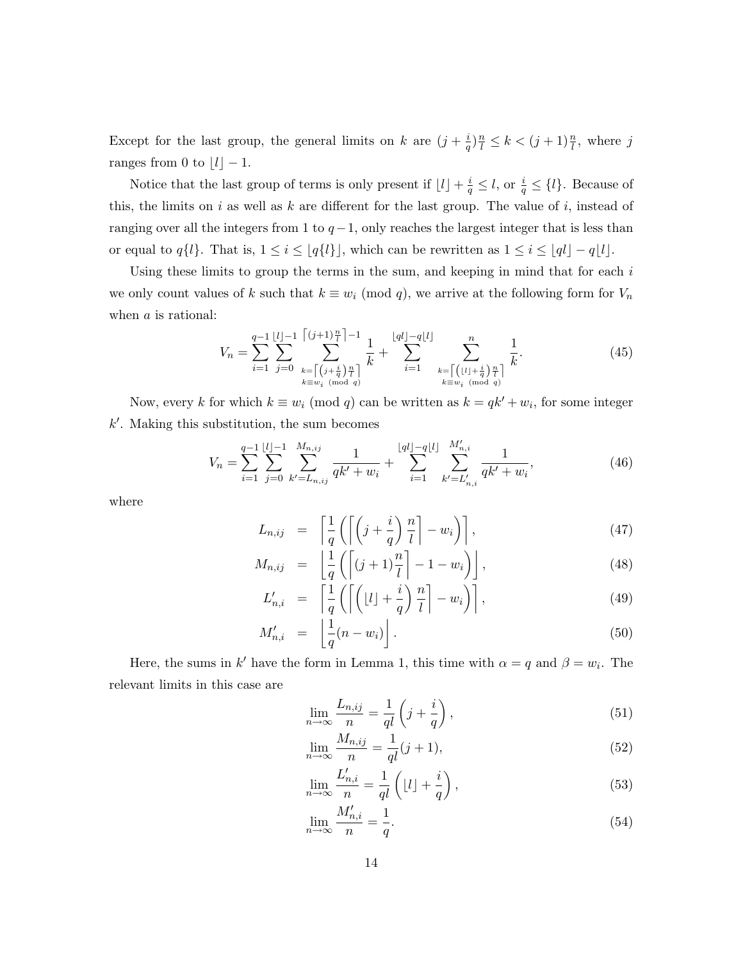Except for the last group, the general limits on k are  $(j + \frac{i}{a})$  $\frac{i}{q}$  $\frac{n}{l} \leq k < (j+1)\frac{n}{l}$ , where j ranges from 0 to  $\lfloor l \rfloor - 1$ .

Notice that the last group of terms is only present if  $\lfloor l \rfloor + \frac{i}{q} \leq l$ , or  $\frac{i}{q} \leq \{l\}$ . Because of this, the limits on  $i$  as well as  $k$  are different for the last group. The value of  $i$ , instead of ranging over all the integers from 1 to  $q-1$ , only reaches the largest integer that is less than or equal to  $q\{l\}$ . That is,  $1 \leq i \leq \lfloor q\{l\} \rfloor$ , which can be rewritten as  $1 \leq i \leq \lfloor qt \rfloor - q\lfloor l \rfloor$ .

Using these limits to group the terms in the sum, and keeping in mind that for each  $i$ we only count values of k such that  $k \equiv w_i \pmod{q}$ , we arrive at the following form for  $V_n$ when a is rational:

$$
V_n = \sum_{i=1}^{q-1} \sum_{j=0}^{\lfloor l \rfloor - 1} \sum_{\substack{k= \lceil (j+\frac{i}{q}) \frac{n}{l} \rceil \\ k \equiv w_i \pmod{q}}}^{\lceil (j+1) \frac{n}{l} \rceil - 1} \frac{1}{k} + \sum_{i=1}^{\lfloor ql \rfloor - q\lfloor l \rfloor} \sum_{\substack{k= \lceil (l \rfloor + \frac{i}{q}) \frac{n}{l} \rceil \\ k \equiv w_i \pmod{q}}}^n \frac{1}{k}.
$$
 (45)

Now, every k for which  $k \equiv w_i \pmod{q}$  can be written as  $k = qk' + w_i$ , for some integer  $k'$ . Making this substitution, the sum becomes

$$
V_n = \sum_{i=1}^{q-1} \sum_{j=0}^{\lfloor l \rfloor - 1} \sum_{k'=L_{n,ij}}^{M_{n,ij}} \frac{1}{qk' + w_i} + \sum_{i=1}^{\lfloor ql \rfloor - q\lfloor l \rfloor} \sum_{k'=L'_{n,i}}^{M'_{n,i}} \frac{1}{qk' + w_i},\tag{46}
$$

where

$$
L_{n,ij} = \left[ \frac{1}{q} \left( \left[ \left( j + \frac{i}{q} \right) \frac{n}{l} \right] - w_i \right) \right],\tag{47}
$$

$$
M_{n,ij} = \left[ \frac{1}{q} \left( \left[ (j+1)\frac{n}{l} \right] - 1 - w_i \right) \right],\tag{48}
$$

$$
L'_{n,i} = \left[ \frac{1}{q} \left( \left[ \left( \lfloor l \rfloor + \frac{i}{q} \right) \frac{n}{l} \right] - w_i \right) \right], \tag{49}
$$

$$
M'_{n,i} = \left\lfloor \frac{1}{q}(n - w_i) \right\rfloor. \tag{50}
$$

Here, the sums in k' have the form in Lemma 1, this time with  $\alpha = q$  and  $\beta = w_i$ . The relevant limits in this case are

$$
\lim_{n \to \infty} \frac{L_{n,ij}}{n} = \frac{1}{ql} \left( j + \frac{i}{q} \right),\tag{51}
$$

$$
\lim_{n \to \infty} \frac{M_{n,ij}}{n} = \frac{1}{ql}(j+1),\tag{52}
$$

$$
\lim_{n \to \infty} \frac{L'_{n,i}}{n} = \frac{1}{ql} \left( \lfloor l \rfloor + \frac{i}{q} \right),\tag{53}
$$

$$
\lim_{n \to \infty} \frac{M'_{n,i}}{n} = \frac{1}{q}.\tag{54}
$$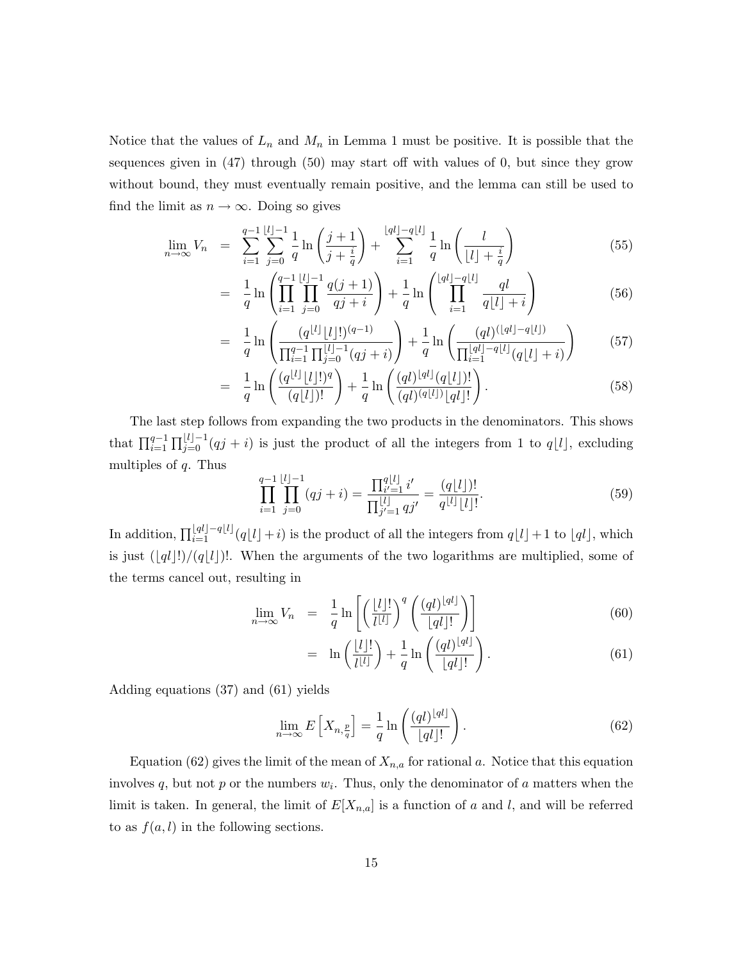Notice that the values of  $L_n$  and  $M_n$  in Lemma 1 must be positive. It is possible that the sequences given in (47) through (50) may start off with values of 0, but since they grow without bound, they must eventually remain positive, and the lemma can still be used to find the limit as  $n \to \infty$ . Doing so gives

$$
\lim_{n \to \infty} V_n = \sum_{i=1}^{q-1} \sum_{j=0}^{\lfloor l \rfloor - 1} \frac{1}{q} \ln \left( \frac{j+1}{j + \frac{i}{q}} \right) + \sum_{i=1}^{\lfloor ql \rfloor - q\lfloor l \rfloor} \frac{1}{q} \ln \left( \frac{l}{\lfloor l \rfloor + \frac{i}{q}} \right)
$$
(55)

$$
= \frac{1}{q} \ln \left( \prod_{i=1}^{q-1} \prod_{j=0}^{\lfloor l \rfloor - 1} \frac{q(j+1)}{qj+i} \right) + \frac{1}{q} \ln \left( \prod_{i=1}^{\lfloor ql \rfloor - q\lfloor l \rfloor} \frac{ql}{q\lfloor l \rfloor + i} \right) \tag{56}
$$

$$
= \frac{1}{q} \ln \left( \frac{(q^{[l]} \lfloor l \rfloor!)^{(q-1)}}{\prod_{i=1}^{q-1} \prod_{j=0}^{\lfloor l \rfloor -1} (qj+i)} \right) + \frac{1}{q} \ln \left( \frac{(ql)^{(\lfloor ql \rfloor - q\lfloor l \rfloor)}}{\prod_{i=1}^{\lfloor ql \rfloor - q\lfloor l \rfloor} (q\lfloor l \rfloor + i)} \right) \tag{57}
$$

$$
= \frac{1}{q} \ln \left( \frac{(q^{[l]} \lfloor l \rfloor!)^q}{(q \lfloor l \rfloor)!} \right) + \frac{1}{q} \ln \left( \frac{(ql)^{[ql]} (q \lfloor l \rfloor)!}{(ql)^{(q \lfloor l \rfloor)} \lfloor q l \rfloor!} \right).
$$
(58)

The last step follows from expanding the two products in the denominators. This shows that  $\prod_{i=1}^{q-1} \prod_{j=0}^{\lfloor l\rfloor-1} (qj+i)$  is just the product of all the integers from 1 to  $q\lfloor l\rfloor$ , excluding multiples of  $q$ . Thus

$$
\prod_{i=1}^{q-1} \prod_{j=0}^{\lfloor l \rfloor -1} (qj+i) = \frac{\prod_{i'=1}^{q\lfloor l \rfloor} i'}{\prod_{j'=1}^{\lfloor l \rfloor} qj'} = \frac{(q\lfloor l \rfloor)!}{q^{\lfloor l \rfloor} \lfloor l \rfloor!}.
$$
\n(59)

In addition,  $\prod_{i=1}^{\lfloor ql\rfloor-q\lfloor l\rfloor}(q\lfloor l\rfloor+i)$  is the product of all the integers from  $q\lfloor l\rfloor+1$  to  $\lfloor ql\rfloor$ , which is just  $(|q|!)/(q|l|)!$ . When the arguments of the two logarithms are multiplied, some of the terms cancel out, resulting in

$$
\lim_{n \to \infty} V_n = \frac{1}{q} \ln \left[ \left( \frac{\lfloor l \rfloor!}{l^{\lfloor l \rfloor}} \right)^q \left( \frac{(ql)^{\lfloor q l \rfloor}}{\lfloor q l \rfloor!} \right) \right] \tag{60}
$$

$$
= \ln\left(\frac{\lfloor l \rfloor!}{l^{\lfloor l \rfloor}}\right) + \frac{1}{q} \ln\left(\frac{(ql)^{\lfloor ql \rfloor}}{\lfloor ql \rfloor!}\right). \tag{61}
$$

Adding equations (37) and (61) yields

$$
\lim_{n \to \infty} E\left[X_{n, \frac{p}{q}}\right] = \frac{1}{q} \ln\left(\frac{(ql)^{\lfloor ql \rfloor}}{\lfloor ql \rfloor!}\right). \tag{62}
$$

Equation (62) gives the limit of the mean of  $X_{n,a}$  for rational a. Notice that this equation involves q, but not p or the numbers  $w_i$ . Thus, only the denominator of a matters when the limit is taken. In general, the limit of  $E[X_{n,a}]$  is a function of a and l, and will be referred to as  $f(a, l)$  in the following sections.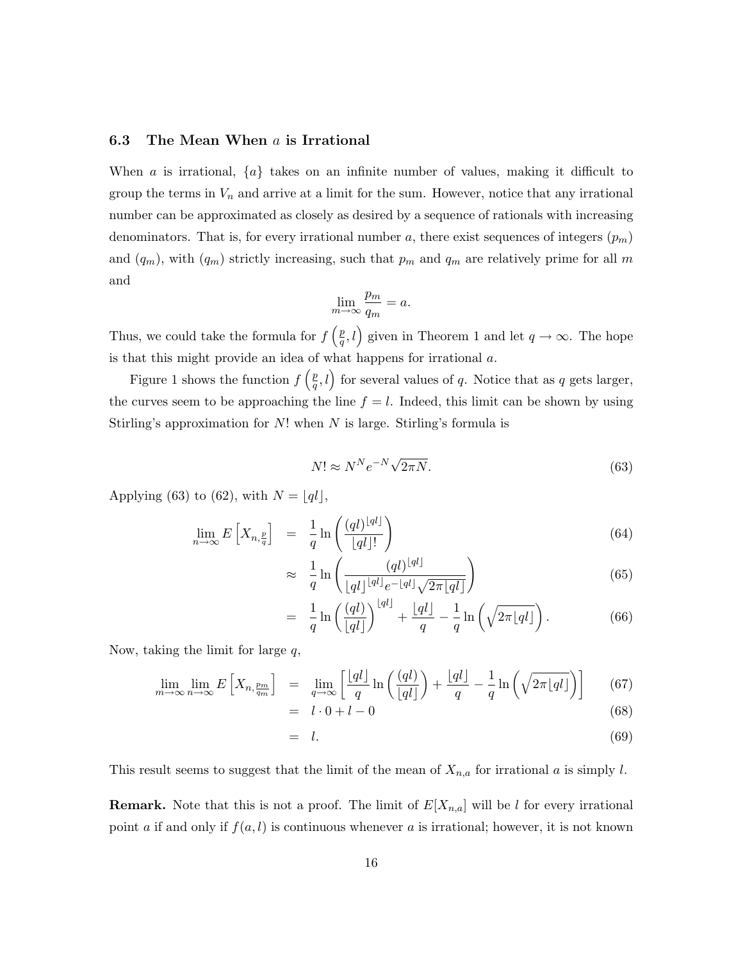#### 6.3 The Mean When  $a$  is Irrational

When a is irrational,  $\{a\}$  takes on an infinite number of values, making it difficult to group the terms in  $V_n$  and arrive at a limit for the sum. However, notice that any irrational number can be approximated as closely as desired by a sequence of rationals with increasing denominators. That is, for every irrational number a, there exist sequences of integers  $(p_m)$ and  $(q_m)$ , with  $(q_m)$  strictly increasing, such that  $p_m$  and  $q_m$  are relatively prime for all m and

$$
\lim_{m \to \infty} \frac{p_m}{q_m} = a.
$$

Thus, we could take the formula for  $f\left(\frac{p}{q}\right)$  $(\frac{p}{q}, l)$  given in Theorem 1 and let  $q \to \infty$ . The hope is that this might provide an idea of what happens for irrational a.

Figure 1 shows the function  $f\left(\frac{p}{q}\right)$  $(\frac{p}{q}, l)$  for several values of q. Notice that as q gets larger, the curves seem to be approaching the line  $f = l$ . Indeed, this limit can be shown by using Stirling's approximation for  $N!$  when  $N$  is large. Stirling's formula is

$$
N! \approx N^N e^{-N} \sqrt{2\pi N}.
$$
\n(63)

Applying (63) to (62), with  $N = |q|$ ,

$$
\lim_{n \to \infty} E\left[X_{n, \frac{p}{q}}\right] = \frac{1}{q} \ln\left(\frac{(ql)^{\lfloor ql \rfloor}}{\lfloor ql \rfloor!}\right) \tag{64}
$$

$$
\approx \frac{1}{q} \ln \left( \frac{(ql)^{\lfloor qt \rfloor}}{\lfloor qt \rfloor^{\lfloor qt \rfloor} e^{-\lfloor qt \rfloor} \sqrt{2\pi \lfloor qt \rfloor}} \right) \tag{65}
$$

$$
= \frac{1}{q} \ln \left( \frac{(ql)}{\lfloor ql \rfloor} \right)^{\lfloor ql \rfloor} + \frac{\lfloor ql \rfloor}{q} - \frac{1}{q} \ln \left( \sqrt{2\pi \lfloor ql \rfloor} \right). \tag{66}
$$

Now, taking the limit for large  $q$ ,

$$
\lim_{m \to \infty} \lim_{n \to \infty} E\left[X_{n, \frac{p_m}{q_m}}\right] = \lim_{q \to \infty} \left[\frac{\lfloor qt \rfloor}{q} \ln\left(\frac{(ql)}{\lfloor qt \rfloor}\right) + \frac{\lfloor qt \rfloor}{q} - \frac{1}{q} \ln\left(\sqrt{2\pi\lfloor qt \rfloor}\right)\right] \tag{67}
$$

$$
= l \cdot 0 + l - 0 \tag{68}
$$

$$
= l. \tag{69}
$$

This result seems to suggest that the limit of the mean of  $X_{n,a}$  for irrational a is simply l.

**Remark.** Note that this is not a proof. The limit of  $E[X_{n,a}]$  will be l for every irrational point a if and only if  $f(a, l)$  is continuous whenever a is irrational; however, it is not known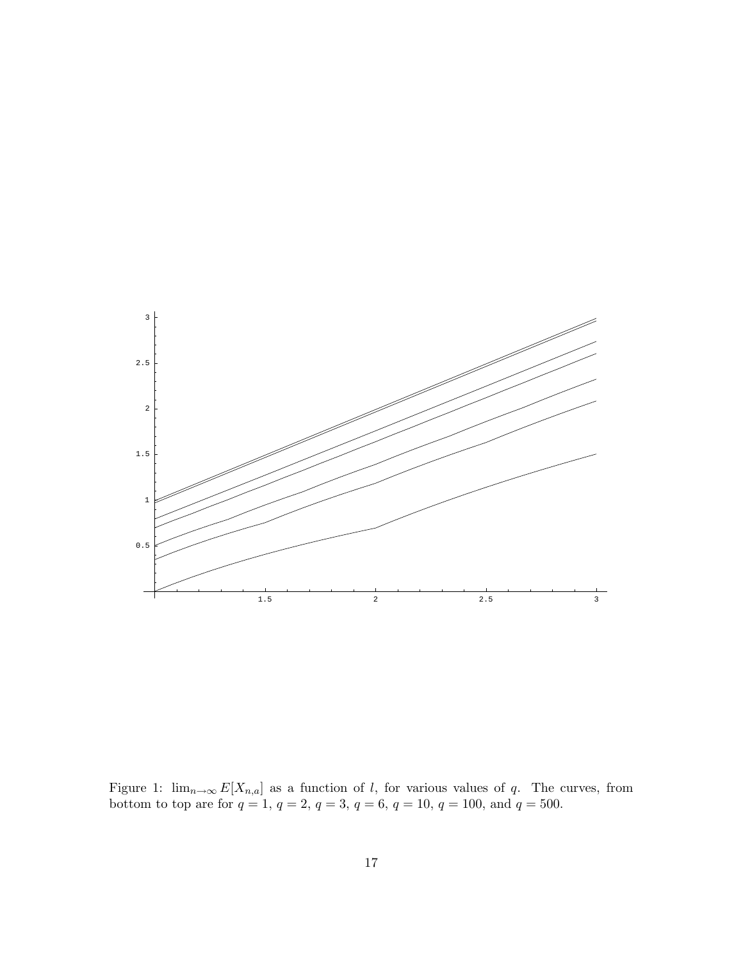

Figure 1:  $\lim_{n\to\infty} E[X_{n,a}]$  as a function of l, for various values of q. The curves, from bottom to top are for  $q = 1, q = 2, q = 3, q = 6, q = 10, q = 100, \text{ and } q = 500.$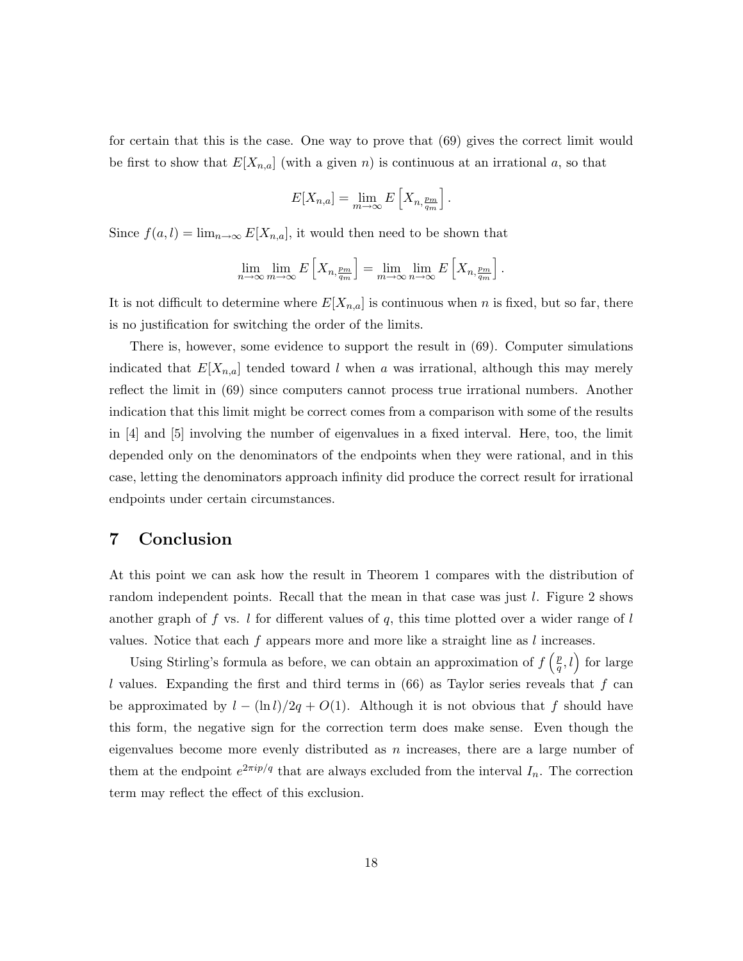for certain that this is the case. One way to prove that (69) gives the correct limit would be first to show that  $E[X_{n,a}]$  (with a given n) is continuous at an irrational a, so that

$$
E[X_{n,a}] = \lim_{m \to \infty} E\left[X_{n,\frac{p_m}{q_m}}\right].
$$

Since  $f(a, l) = \lim_{n \to \infty} E[X_{n,a}]$ , it would then need to be shown that

$$
\lim_{n \to \infty} \lim_{m \to \infty} E\left[X_{n, \frac{p_m}{q_m}}\right] = \lim_{m \to \infty} \lim_{n \to \infty} E\left[X_{n, \frac{p_m}{q_m}}\right].
$$

It is not difficult to determine where  $E[X_{n,a}]$  is continuous when n is fixed, but so far, there is no justification for switching the order of the limits.

There is, however, some evidence to support the result in (69). Computer simulations indicated that  $E[X_{n,a}]$  tended toward l when a was irrational, although this may merely reflect the limit in (69) since computers cannot process true irrational numbers. Another indication that this limit might be correct comes from a comparison with some of the results in [4] and [5] involving the number of eigenvalues in a fixed interval. Here, too, the limit depended only on the denominators of the endpoints when they were rational, and in this case, letting the denominators approach infinity did produce the correct result for irrational endpoints under certain circumstances.

## 7 Conclusion

At this point we can ask how the result in Theorem 1 compares with the distribution of random independent points. Recall that the mean in that case was just l. Figure 2 shows another graph of f vs. l for different values of q, this time plotted over a wider range of l values. Notice that each  $f$  appears more and more like a straight line as  $l$  increases.

Using Stirling's formula as before, we can obtain an approximation of  $f\left(\frac{p}{q}\right)$  $(\frac{p}{q}, l)$  for large l values. Expanding the first and third terms in  $(66)$  as Taylor series reveals that f can be approximated by  $l - (\ln l)/2q + O(1)$ . Although it is not obvious that f should have this form, the negative sign for the correction term does make sense. Even though the eigenvalues become more evenly distributed as  $n$  increases, there are a large number of them at the endpoint  $e^{2\pi i p/q}$  that are always excluded from the interval  $I_n$ . The correction term may reflect the effect of this exclusion.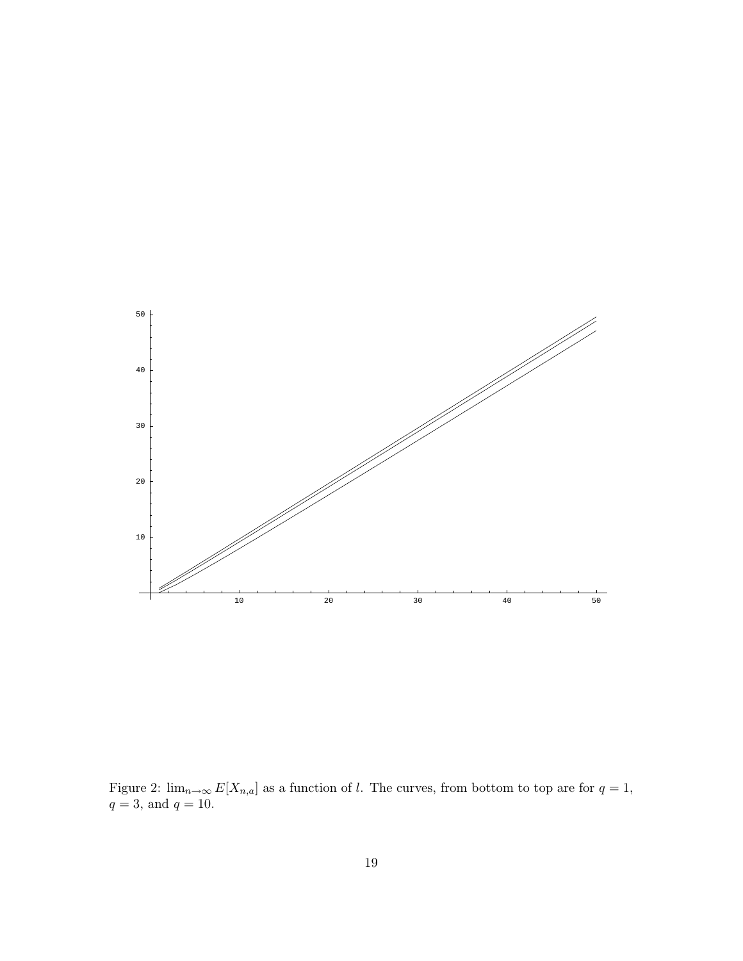

Figure 2:  $\lim_{n\to\infty} E[X_{n,a}]$  as a function of l. The curves, from bottom to top are for  $q=1$ ,  $q = 3$ , and  $q = 10$ .